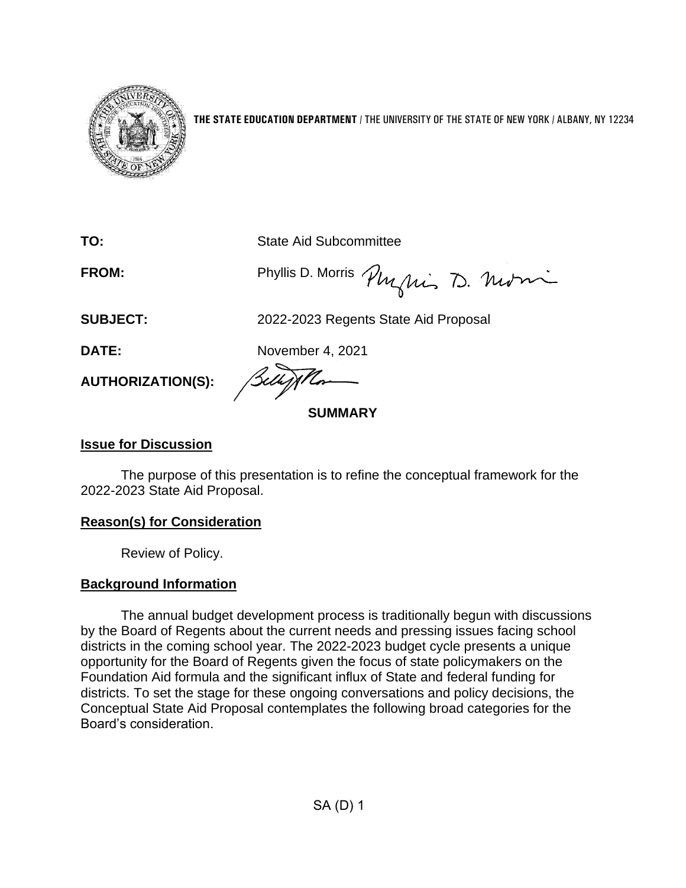

**THE STATE EDUCATION DEPARTMENT** / THE UNIVERSITY OF THE STATE OF NEW YORK / ALBANY, NY 12234

**TO:** State Aid Subcommittee

FROM: Phyllis D. Morris Phyllis D. Mutri

**SUBJECT:** 2022-2023 Regents State Aid Proposal

**DATE:** November 4, 2021

**AUTHORIZATION(S):**

**SUMMARY**

### **Issue for Discussion**

The purpose of this presentation is to refine the conceptual framework for the 2022-2023 State Aid Proposal.

# **Reason(s) for Consideration**

Review of Policy.

# **Background Information**

The annual budget development process is traditionally begun with discussions by the Board of Regents about the current needs and pressing issues facing school districts in the coming school year. The 2022-2023 budget cycle presents a unique opportunity for the Board of Regents given the focus of state policymakers on the Foundation Aid formula and the significant influx of State and federal funding for districts. To set the stage for these ongoing conversations and policy decisions, the Conceptual State Aid Proposal contemplates the following broad categories for the Board's consideration.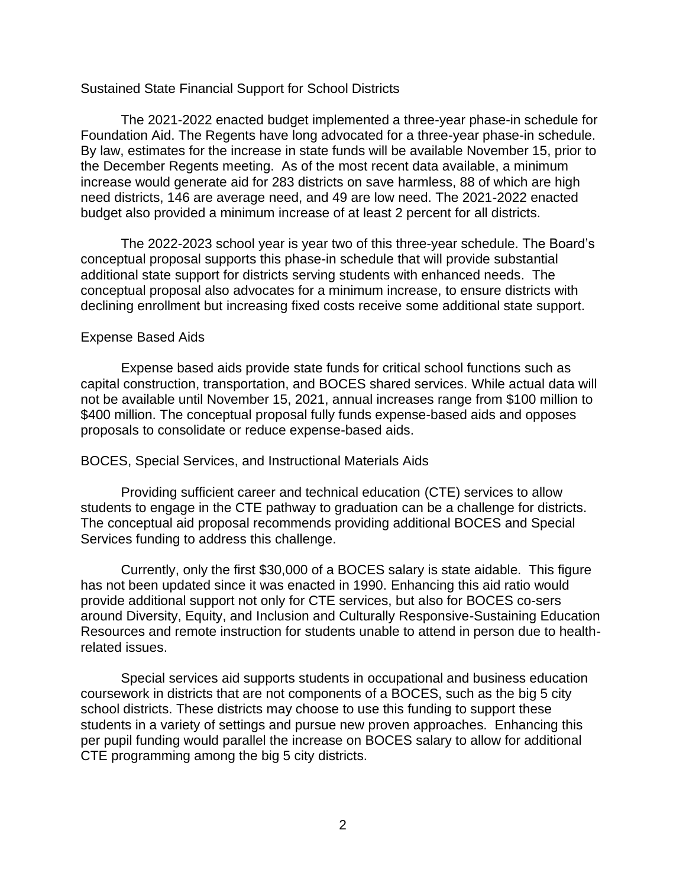#### Sustained State Financial Support for School Districts

The 2021-2022 enacted budget implemented a three-year phase-in schedule for Foundation Aid. The Regents have long advocated for a three-year phase-in schedule. By law, estimates for the increase in state funds will be available November 15, prior to the December Regents meeting. As of the most recent data available, a minimum increase would generate aid for 283 districts on save harmless, 88 of which are high need districts, 146 are average need, and 49 are low need. The 2021-2022 enacted budget also provided a minimum increase of at least 2 percent for all districts.

The 2022-2023 school year is year two of this three-year schedule. The Board's conceptual proposal supports this phase-in schedule that will provide substantial additional state support for districts serving students with enhanced needs. The conceptual proposal also advocates for a minimum increase, to ensure districts with declining enrollment but increasing fixed costs receive some additional state support.

#### Expense Based Aids

Expense based aids provide state funds for critical school functions such as capital construction, transportation, and BOCES shared services. While actual data will not be available until November 15, 2021, annual increases range from \$100 million to \$400 million. The conceptual proposal fully funds expense-based aids and opposes proposals to consolidate or reduce expense-based aids.

### BOCES, Special Services, and Instructional Materials Aids

Providing sufficient career and technical education (CTE) services to allow students to engage in the CTE pathway to graduation can be a challenge for districts. The conceptual aid proposal recommends providing additional BOCES and Special Services funding to address this challenge.

Currently, only the first \$30,000 of a BOCES salary is state aidable. This figure has not been updated since it was enacted in 1990. Enhancing this aid ratio would provide additional support not only for CTE services, but also for BOCES co-sers around Diversity, Equity, and Inclusion and Culturally Responsive-Sustaining Education Resources and remote instruction for students unable to attend in person due to healthrelated issues.

Special services aid supports students in occupational and business education coursework in districts that are not components of a BOCES, such as the big 5 city school districts. These districts may choose to use this funding to support these students in a variety of settings and pursue new proven approaches. Enhancing this per pupil funding would parallel the increase on BOCES salary to allow for additional CTE programming among the big 5 city districts.